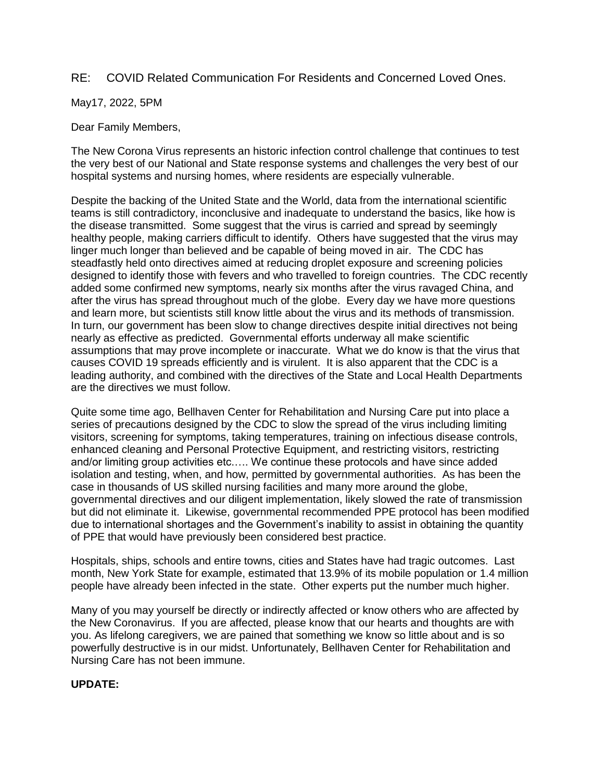## RE: COVID Related Communication For Residents and Concerned Loved Ones.

May17, 2022, 5PM

Dear Family Members,

The New Corona Virus represents an historic infection control challenge that continues to test the very best of our National and State response systems and challenges the very best of our hospital systems and nursing homes, where residents are especially vulnerable.

Despite the backing of the United State and the World, data from the international scientific teams is still contradictory, inconclusive and inadequate to understand the basics, like how is the disease transmitted. Some suggest that the virus is carried and spread by seemingly healthy people, making carriers difficult to identify. Others have suggested that the virus may linger much longer than believed and be capable of being moved in air. The CDC has steadfastly held onto directives aimed at reducing droplet exposure and screening policies designed to identify those with fevers and who travelled to foreign countries. The CDC recently added some confirmed new symptoms, nearly six months after the virus ravaged China, and after the virus has spread throughout much of the globe. Every day we have more questions and learn more, but scientists still know little about the virus and its methods of transmission. In turn, our government has been slow to change directives despite initial directives not being nearly as effective as predicted. Governmental efforts underway all make scientific assumptions that may prove incomplete or inaccurate. What we do know is that the virus that causes COVID 19 spreads efficiently and is virulent. It is also apparent that the CDC is a leading authority, and combined with the directives of the State and Local Health Departments are the directives we must follow.

Quite some time ago, Bellhaven Center for Rehabilitation and Nursing Care put into place a series of precautions designed by the CDC to slow the spread of the virus including limiting visitors, screening for symptoms, taking temperatures, training on infectious disease controls, enhanced cleaning and Personal Protective Equipment, and restricting visitors, restricting and/or limiting group activities etc.…. We continue these protocols and have since added isolation and testing, when, and how, permitted by governmental authorities. As has been the case in thousands of US skilled nursing facilities and many more around the globe, governmental directives and our diligent implementation, likely slowed the rate of transmission but did not eliminate it. Likewise, governmental recommended PPE protocol has been modified due to international shortages and the Government's inability to assist in obtaining the quantity of PPE that would have previously been considered best practice.

Hospitals, ships, schools and entire towns, cities and States have had tragic outcomes. Last month, New York State for example, estimated that 13.9% of its mobile population or 1.4 million people have already been infected in the state. Other experts put the number much higher.

Many of you may yourself be directly or indirectly affected or know others who are affected by the New Coronavirus. If you are affected, please know that our hearts and thoughts are with you. As lifelong caregivers, we are pained that something we know so little about and is so powerfully destructive is in our midst. Unfortunately, Bellhaven Center for Rehabilitation and Nursing Care has not been immune.

## **UPDATE:**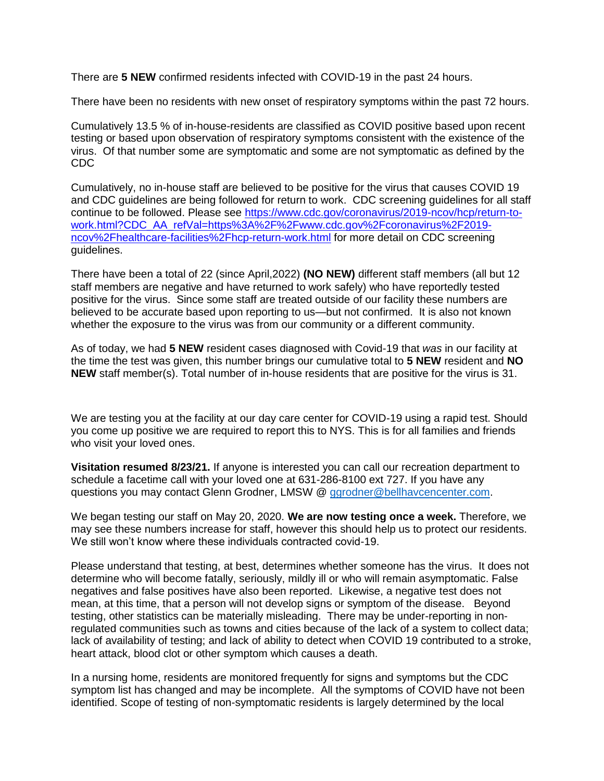There are **5 NEW** confirmed residents infected with COVID-19 in the past 24 hours.

There have been no residents with new onset of respiratory symptoms within the past 72 hours.

Cumulatively 13.5 % of in-house-residents are classified as COVID positive based upon recent testing or based upon observation of respiratory symptoms consistent with the existence of the virus. Of that number some are symptomatic and some are not symptomatic as defined by the CDC

Cumulatively, no in-house staff are believed to be positive for the virus that causes COVID 19 and CDC guidelines are being followed for return to work. CDC screening guidelines for all staff continue to be followed. Please see [https://www.cdc.gov/coronavirus/2019-ncov/hcp/return-to](https://www.cdc.gov/coronavirus/2019-ncov/hcp/return-to-work.html?CDC_AA_refVal=https%3A%2F%2Fwww.cdc.gov%2Fcoronavirus%2F2019-ncov%2Fhealthcare-facilities%2Fhcp-return-work.html)[work.html?CDC\\_AA\\_refVal=https%3A%2F%2Fwww.cdc.gov%2Fcoronavirus%2F2019](https://www.cdc.gov/coronavirus/2019-ncov/hcp/return-to-work.html?CDC_AA_refVal=https%3A%2F%2Fwww.cdc.gov%2Fcoronavirus%2F2019-ncov%2Fhealthcare-facilities%2Fhcp-return-work.html) [ncov%2Fhealthcare-facilities%2Fhcp-return-work.html](https://www.cdc.gov/coronavirus/2019-ncov/hcp/return-to-work.html?CDC_AA_refVal=https%3A%2F%2Fwww.cdc.gov%2Fcoronavirus%2F2019-ncov%2Fhealthcare-facilities%2Fhcp-return-work.html) for more detail on CDC screening guidelines.

There have been a total of 22 (since April,2022) **(NO NEW)** different staff members (all but 12 staff members are negative and have returned to work safely) who have reportedly tested positive for the virus. Since some staff are treated outside of our facility these numbers are believed to be accurate based upon reporting to us—but not confirmed. It is also not known whether the exposure to the virus was from our community or a different community.

As of today, we had **5 NEW** resident cases diagnosed with Covid-19 that *was* in our facility at the time the test was given, this number brings our cumulative total to **5 NEW** resident and **NO NEW** staff member(s). Total number of in-house residents that are positive for the virus is 31.

We are testing you at the facility at our day care center for COVID-19 using a rapid test. Should you come up positive we are required to report this to NYS. This is for all families and friends who visit your loved ones.

**Visitation resumed 8/23/21.** If anyone is interested you can call our recreation department to schedule a facetime call with your loved one at 631-286-8100 ext 727. If you have any questions you may contact Glenn Grodner, LMSW @ [ggrodner@bellhavcencenter.com.](mailto:ggrodner@bellhavcencenter.com)

We began testing our staff on May 20, 2020. **We are now testing once a week.** Therefore, we may see these numbers increase for staff, however this should help us to protect our residents. We still won't know where these individuals contracted covid-19.

Please understand that testing, at best, determines whether someone has the virus. It does not determine who will become fatally, seriously, mildly ill or who will remain asymptomatic. False negatives and false positives have also been reported. Likewise, a negative test does not mean, at this time, that a person will not develop signs or symptom of the disease. Beyond testing, other statistics can be materially misleading. There may be under-reporting in nonregulated communities such as towns and cities because of the lack of a system to collect data; lack of availability of testing; and lack of ability to detect when COVID 19 contributed to a stroke, heart attack, blood clot or other symptom which causes a death.

In a nursing home, residents are monitored frequently for signs and symptoms but the CDC symptom list has changed and may be incomplete. All the symptoms of COVID have not been identified. Scope of testing of non-symptomatic residents is largely determined by the local